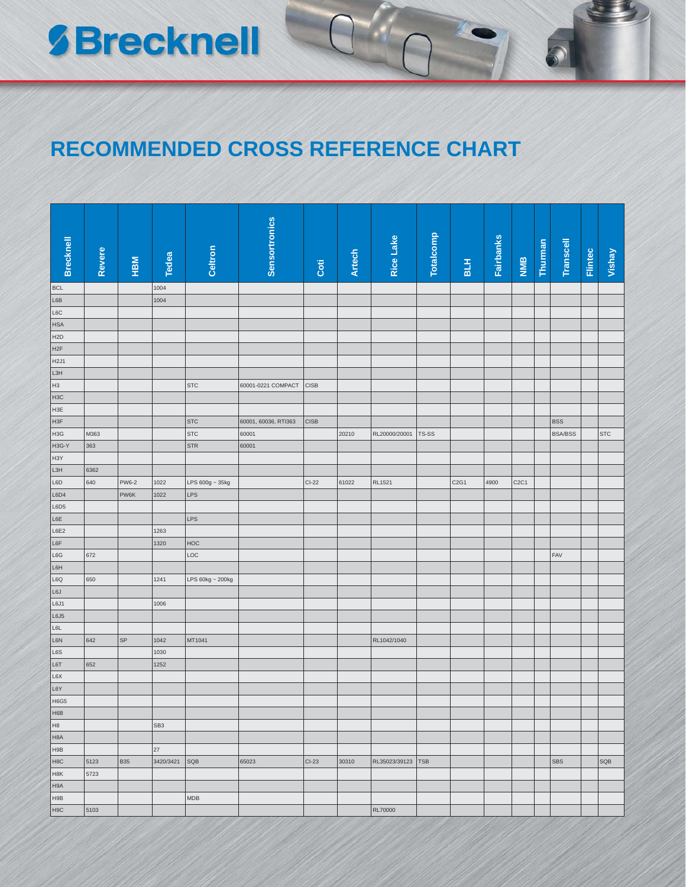## **SBrecknell**

## **RECOMMENDED CROSS REFERENCE CHART**

| <b>Brecknell</b> | Revere | HВM        | Tedea           | Celtron          | <b>Sensortronics</b> | Coti         | <b>Artech</b> | Rice Lake     | <b>Totalcomp</b> | B L H | <b>Fairbanks</b> | NIMB                          | Thurman | Transcell      | Flintec | Vishay     |
|------------------|--------|------------|-----------------|------------------|----------------------|--------------|---------------|---------------|------------------|-------|------------------|-------------------------------|---------|----------------|---------|------------|
| <b>BCL</b>       |        |            |                 |                  |                      |              |               |               |                  |       |                  |                               |         |                |         |            |
| L6B              |        |            | 1004<br>1004    |                  |                      |              |               |               |                  |       |                  |                               |         |                |         |            |
| L6C              |        |            |                 |                  |                      |              |               |               |                  |       |                  |                               |         |                |         |            |
| <b>HSA</b>       |        |            |                 |                  |                      |              |               |               |                  |       |                  |                               |         |                |         |            |
| H <sub>2</sub> D |        |            |                 |                  |                      |              |               |               |                  |       |                  |                               |         |                |         |            |
| H <sub>2</sub> F |        |            |                 |                  |                      |              |               |               |                  |       |                  |                               |         |                |         |            |
| H <sub>2J1</sub> |        |            |                 |                  |                      |              |               |               |                  |       |                  |                               |         |                |         |            |
| L3H              |        |            |                 |                  |                      |              |               |               |                  |       |                  |                               |         |                |         |            |
| H <sub>3</sub>   |        |            |                 | <b>STC</b>       | 60001-0221 COMPACT   | <b>CISB</b>  |               |               |                  |       |                  |                               |         |                |         |            |
| H <sub>3</sub> C |        |            |                 |                  |                      |              |               |               |                  |       |                  |                               |         |                |         |            |
| H <sub>3E</sub>  |        |            |                 |                  |                      |              |               |               |                  |       |                  |                               |         |                |         |            |
| H <sub>3F</sub>  |        |            |                 | <b>STC</b>       | 60001, 60036, RTI363 | <b>CISB</b>  |               |               |                  |       |                  |                               |         | <b>BSS</b>     |         |            |
| H <sub>3</sub> G | M363   |            |                 | <b>STC</b>       | 60001                |              | 20210         | RL20000/20001 | TS-SS            |       |                  |                               |         | <b>BSA/BSS</b> |         | <b>STC</b> |
| H3G-Y            | 363    |            |                 | <b>STR</b>       | 60001                |              |               |               |                  |       |                  |                               |         |                |         |            |
| H <sub>3</sub> Y |        |            |                 |                  |                      |              |               |               |                  |       |                  |                               |         |                |         |            |
| L3H              | 6362   |            |                 |                  |                      |              |               |               |                  |       |                  |                               |         |                |         |            |
| L6D              | 640    | PW6-2      | 1022            | LPS 600g ~ 35kg  |                      | <b>CI-22</b> | 61022         | RL1521        |                  | C2G1  | 4900             | C <sub>2</sub> C <sub>1</sub> |         |                |         |            |
| L6D4             |        | PW6K       | 1022            | <b>LPS</b>       |                      |              |               |               |                  |       |                  |                               |         |                |         |            |
| L6D5             |        |            |                 |                  |                      |              |               |               |                  |       |                  |                               |         |                |         |            |
| L6E              |        |            |                 | LPS              |                      |              |               |               |                  |       |                  |                               |         |                |         |            |
| L6E2             |        |            | 1263            |                  |                      |              |               |               |                  |       |                  |                               |         |                |         |            |
| L6F              |        |            | 1320            | <b>HOC</b>       |                      |              |               |               |                  |       |                  |                               |         |                |         |            |
| L6G              | 672    |            |                 | LOC              |                      |              |               |               |                  |       |                  |                               |         | FAV            |         |            |
| L6H              |        |            |                 |                  |                      |              |               |               |                  |       |                  |                               |         |                |         |            |
| L6Q<br>L6J       | 650    |            | 1241            | LPS 60kg ~ 200kg |                      |              |               |               |                  |       |                  |                               |         |                |         |            |
| L6J1             |        |            | 1006            |                  |                      |              |               |               |                  |       |                  |                               |         |                |         |            |
| L6J5             |        |            |                 |                  |                      |              |               |               |                  |       |                  |                               |         |                |         |            |
| L6L              |        |            |                 |                  |                      |              |               |               |                  |       |                  |                               |         |                |         |            |
| L6N              | 642    | SP         | 1042            | MT1041           |                      |              |               | RL1042/1040   |                  |       |                  |                               |         |                |         |            |
| L6S              |        |            | 1030            |                  |                      |              |               |               |                  |       |                  |                               |         |                |         |            |
| L6T              | 652    |            | 1252            |                  |                      |              |               |               |                  |       |                  |                               |         |                |         |            |
| L6X              |        |            |                 |                  |                      |              |               |               |                  |       |                  |                               |         |                |         |            |
| L6Y              |        |            |                 |                  |                      |              |               |               |                  |       |                  |                               |         |                |         |            |
| H6G5             |        |            |                 |                  |                      |              |               |               |                  |       |                  |                               |         |                |         |            |
| H6B              |        |            |                 |                  |                      |              |               |               |                  |       |                  |                               |         |                |         |            |
| H <sub>8</sub>   |        |            | SB <sub>3</sub> |                  |                      |              |               |               |                  |       |                  |                               |         |                |         |            |
| H <sub>8</sub> A |        |            |                 |                  |                      |              |               |               |                  |       |                  |                               |         |                |         |            |
| H9B              |        |            | 27              |                  |                      |              |               |               |                  |       |                  |                               |         |                |         |            |
| H <sub>8</sub> C | 5123   | <b>B35</b> | 3420/3421       | SQB              | 65023                | $CI-23$      | 30310         | RL35023/39123 | <b>TSB</b>       |       |                  |                               |         | <b>SBS</b>     |         | SQB        |
| H <sub>8</sub> K | 5723   |            |                 |                  |                      |              |               |               |                  |       |                  |                               |         |                |         |            |
| H9A              |        |            |                 |                  |                      |              |               |               |                  |       |                  |                               |         |                |         |            |
| H9B              |        |            |                 | MDB              |                      |              |               |               |                  |       |                  |                               |         |                |         |            |
| H <sub>9</sub> C | 5103   |            |                 |                  |                      |              |               | RL70000       |                  |       |                  |                               |         |                |         |            |